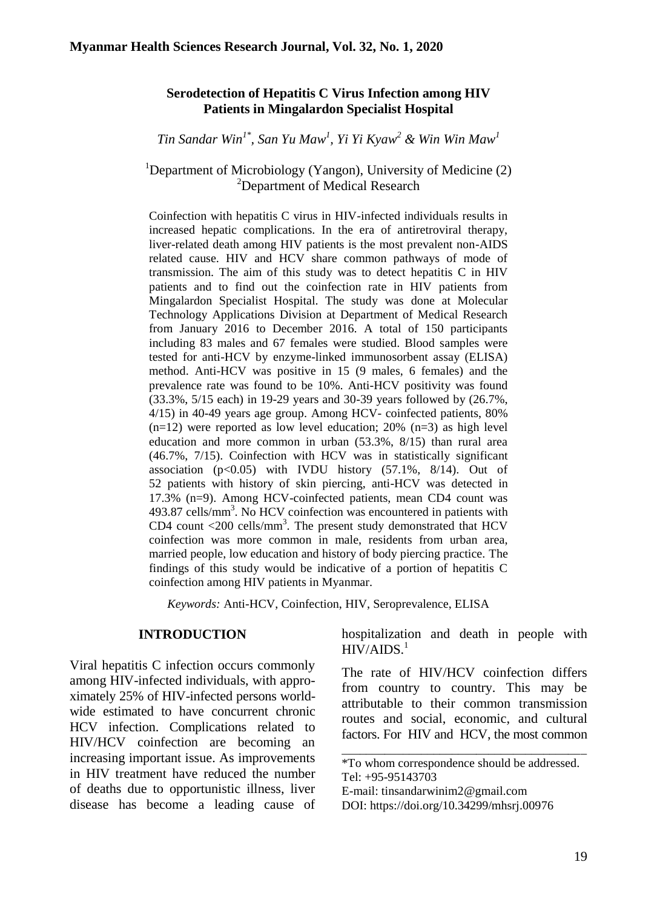## **Serodetection of Hepatitis C Virus Infection among HIV Patients in Mingalardon Specialist Hospital**

*Tin Sandar Win1\* , San Yu Maw<sup>1</sup> , Yi Yi Kyaw<sup>2</sup> & Win Win Maw<sup>1</sup>*

### <sup>1</sup>Department of Microbiology (Yangon), University of Medicine  $(2)$ <sup>2</sup>Department of Medical Research

Coinfection with hepatitis C virus in HIV-infected individuals results in increased hepatic complications. In the era of antiretroviral therapy, liver-related death among HIV patients is the most prevalent non-AIDS related cause. HIV and HCV share common pathways of mode of transmission. The aim of this study was to detect hepatitis C in HIV patients and to find out the coinfection rate in HIV patients from Mingalardon Specialist Hospital. The study was done at Molecular Technology Applications Division at Department of Medical Research from January 2016 to December 2016. A total of 150 participants including 83 males and 67 females were studied. Blood samples were tested for anti-HCV by enzyme-linked immunosorbent assay (ELISA) method. Anti-HCV was positive in 15 (9 males, 6 females) and the prevalence rate was found to be 10%. Anti-HCV positivity was found (33.3%, 5/15 each) in 19-29 years and 30-39 years followed by (26.7%, 4/15) in 40-49 years age group. Among HCV- coinfected patients, 80%  $(n=12)$  were reported as low level education; 20%  $(n=3)$  as high level education and more common in urban (53.3%, 8/15) than rural area (46.7%, 7/15). Coinfection with HCV was in statistically significant association  $(p<0.05)$  with IVDU history  $(57.1\%, 8/14)$ . Out of 52 patients with history of skin piercing, anti-HCV was detected in 17.3% (n=9). Among HCV-coinfected patients, mean CD4 count was 493.87 cells/mm<sup>3</sup>. No HCV coinfection was encountered in patients with CD4 count  $\langle 200 \text{ cells/mm}^3$ . The present study demonstrated that HCV coinfection was more common in male, residents from urban area, married people, low education and history of body piercing practice. The findings of this study would be indicative of a portion of hepatitis C coinfection among HIV patients in Myanmar.

*Keywords:* Anti-HCV, Coinfection, HIV, Seroprevalence, ELISA

### **INTRODUCTION**

Viral hepatitis C infection occurs commonly among HIV-infected individuals, with approximately 25% of HIV-infected persons worldwide estimated to have concurrent chronic HCV infection. Complications related to HIV/HCV coinfection are becoming an increasing important issue. As improvements in HIV treatment have reduced the number of deaths due to opportunistic illness, liver disease has become a leading cause of hospitalization and death in people with  $HIV/ALDS.<sup>1</sup>$ 

The rate of HIV/HCV coinfection differs from country to country. This may be attributable to their common transmission routes and social, economic, and cultural factors. For HIV and HCV, the most common

\_\_\_\_\_\_\_\_\_\_\_\_\_\_\_\_\_\_\_\_\_\_\_\_\_\_\_\_\_\_\_\_\_\_\_\_\_\_\_\_ \*To whom correspondence should be addressed. Tel: +95-95143703

E-mail: tinsandarwinim[2@gmail.com](mailto:henryko2007@gmail.com)

DOI: [https://doi.org/10.34299/mhsrj.0097](https://doi.org/10.34299/mhsrj.009)6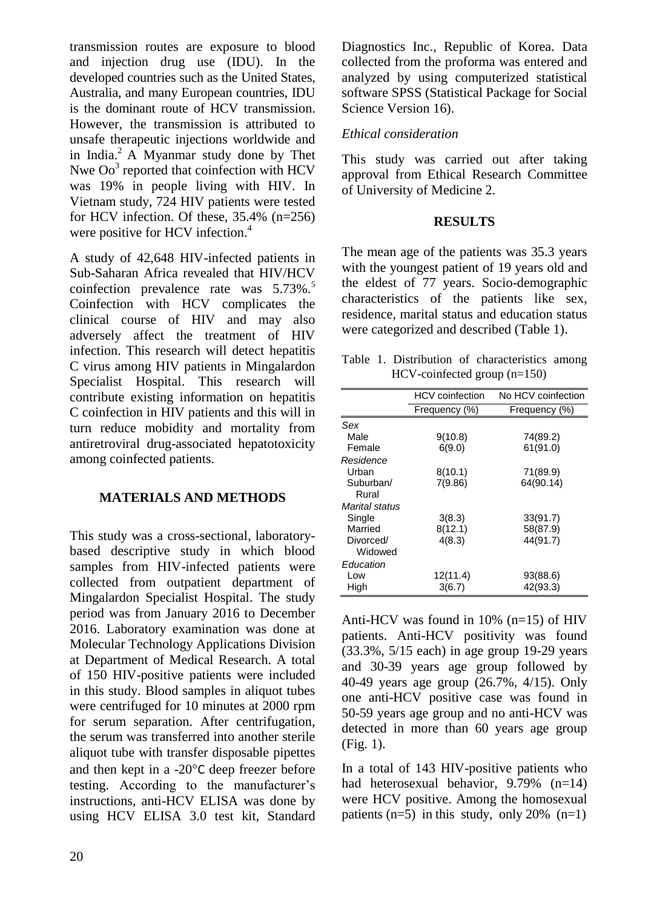transmission routes are exposure to blood and injection drug use (IDU). In the developed countries such as the United States, Australia, and many European countries, IDU is the dominant route of HCV transmission. However, the transmission is attributed to unsafe therapeutic injections worldwide and in India.<sup>2</sup> A Myanmar study done by Thet Nwe  $\text{Oo}^3$  reported that coinfection with HCV was 19% in people living with HIV. In Vietnam study, 724 HIV patients were tested for HCV infection. Of these, 35.4% (n=256) were positive for HCV infection.<sup>4</sup>

A study of 42,648 HIV-infected patients in Sub-Saharan Africa revealed that HIV/HCV coinfection prevalence rate was  $5.73\%$ .<sup>5</sup> Coinfection with HCV complicates the clinical course of HIV and may also adversely affect the treatment of HIV infection. This research will detect hepatitis C virus among HIV patients in Mingalardon Specialist Hospital. This research will contribute existing information on hepatitis C coinfection in HIV patients and this will in turn reduce mobidity and mortality from antiretroviral drug-associated hepatotoxicity among coinfected patients.

## **MATERIALS AND METHODS**

This study was a cross-sectional, laboratorybased descriptive study in which blood samples from HIV-infected patients were collected from outpatient department of Mingalardon Specialist Hospital. The study period was from January 2016 to December 2016. Laboratory examination was done at Molecular Technology Applications Division at Department of Medical Research. A total of 150 HIV-positive patients were included in this study. Blood samples in aliquot tubes were centrifuged for 10 minutes at 2000 rpm for serum separation. After centrifugation, the serum was transferred into another sterile aliquot tube with transfer disposable pipettes and then kept in a  $-20^{\circ}$ C deep freezer before testing. According to the manufacturer's instructions, anti-HCV ELISA was done by using HCV ELISA 3.0 test kit, Standard

Diagnostics Inc., Republic of Korea. Data collected from the proforma was entered and analyzed by using computerized statistical software SPSS (Statistical Package for Social Science Version 16).

# *Ethical consideration*

This study was carried out after taking approval from Ethical Research Committee of University of Medicine 2.

## **RESULTS**

The mean age of the patients was 35.3 years with the youngest patient of 19 years old and the eldest of 77 years. Socio-demographic characteristics of the patients like sex, residence, marital status and education status were categorized and described (Table 1).

Table 1. Distribution of characteristics among HCV-coinfected group (n=150)

|                | <b>HCV</b> coinfection | No HCV coinfection |
|----------------|------------------------|--------------------|
|                | Frequency (%)          | Frequency (%)      |
| Sex            |                        |                    |
| Male           | 9(10.8)                | 74(89.2)           |
| Female         | 6(9.0)                 | 61(91.0)           |
| Residence      |                        |                    |
| Urban          | 8(10.1)                | 71(89.9)           |
| Suburban/      | 7(9.86)                | 64(90.14)          |
| Rural          |                        |                    |
| Marital status |                        |                    |
| Single         | 3(8.3)                 | 33(91.7)           |
| Married        | 8(12.1)                | 58(87.9)           |
| Divorced/      | 4(8.3)                 | 44(91.7)           |
| Widowed        |                        |                    |
| Education      |                        |                    |
| Low            | 12(11.4)               | 93(88.6)           |
| High           | 3(6.7)                 | 42(93.3)           |

Anti-HCV was found in 10% (n=15) of HIV patients. Anti-HCV positivity was found (33.3%, 5/15 each) in age group 19-29 years and 30-39 years age group followed by 40-49 years age group (26.7%, 4/15). Only one anti-HCV positive case was found in 50-59 years age group and no anti-HCV was detected in more than 60 years age group (Fig. 1).

In a total of 143 HIV-positive patients who had heterosexual behavior, 9.79% (n=14) were HCV positive. Among the homosexual patients  $(n=5)$  in this study, only 20%  $(n=1)$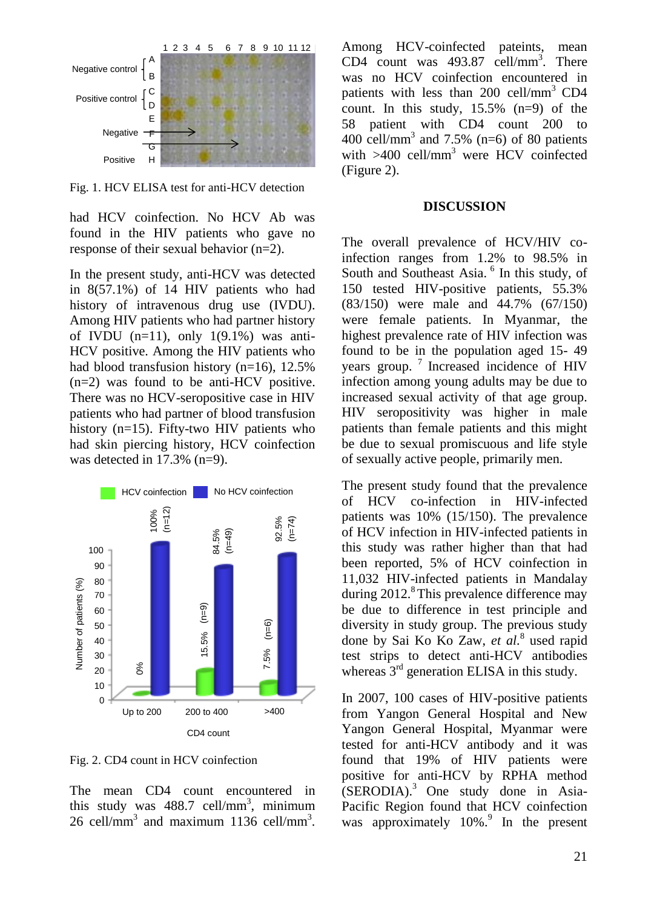

Fig. 1. HCV ELISA test for anti-HCV detection

had HCV coinfection. No HCV Ab was found in the HIV patients who gave no response of their sexual behavior (n=2).

In the present study, anti-HCV was detected in 8(57.1%) of 14 HIV patients who had history of intravenous drug use (IVDU). Among HIV patients who had partner history of IVDU  $(n=11)$ , only  $1(9.1\%)$  was anti-HCV positive. Among the HIV patients who had blood transfusion history (n=16), 12.5%  $(n=2)$  was found to be anti-HCV positive. There was no HCV-seropositive case in HIV patients who had partner of blood transfusion history (n=15). Fifty-two HIV patients who had skin piercing history, HCV coinfection<br>was detected in 17.3%  $(n=9)$ was detected in 17.3% (n=9).



Fig. 2. CD4 count in HCV coinfection

The mean CD4 count encountered in this study was  $488.7$  cell/mm<sup>3</sup>, minimum 26 cell/mm<sup>3</sup> and maximum 1136 cell/mm<sup>3</sup>. Among HCV-coinfected pateints, mean CD4 count was 493.87 cell/mm<sup>3</sup>. There was no HCV coinfection encountered in patients with less than 200 cell/mm<sup>3</sup> CD4 count. In this study, 15.5% (n=9) of the 58 patient with CD4 count 200 to 400 cell/mm<sup>3</sup> and 7.5% (n=6) of 80 patients with  $>400$  cell/mm<sup>3</sup> were HCV coinfected (Figure 2).

#### **DISCUSSION**

The overall prevalence of HCV/HIV coinfection ranges from 1.2% to 98.5% in South and Southeast Asia.<sup>6</sup> In this study, of 150 tested HIV-positive patients, 55.3% (83/150) were male and 44.7% (67/150) were female patients. In Myanmar, the highest prevalence rate of HIV infection was found to be in the population aged 15- 49 years group.<sup>7</sup> Increased incidence of HIV infection among young adults may be due to increased sexual activity of that age group. HIV seropositivity was higher in male patients than female patients and this might be due to sexual promiscuous and life style of sexually active people, primarily men.

The present study found that the prevalence of HCV co-infection in HIV-infected patients was 10% (15/150). The prevalence of HCV infection in HIV-infected patients in this study was rather higher than that had been reported, 5% of HCV coinfection in 11,032 HIV-infected patients in Mandalay during  $2012$ .<sup>8</sup>This prevalence difference may be due to difference in test principle and diversity in study group. The previous study done by Sai Ko Ko Zaw, *et al.*<sup>8</sup> used rapid test strips to detect anti-HCV antibodies whereas  $3<sup>rd</sup>$  generation ELISA in this study.

In 2007, 100 cases of HIV-positive patients from Yangon General Hospital and New Yangon General Hospital, Myanmar were tested for anti-HCV antibody and it was found that 19% of HIV patients were positive for anti-HCV by RPHA method  $(SERODIA).$ <sup>3</sup> One study done in Asia-Pacific Region found that HCV coinfection was approximately 10%.<sup>9</sup> In the present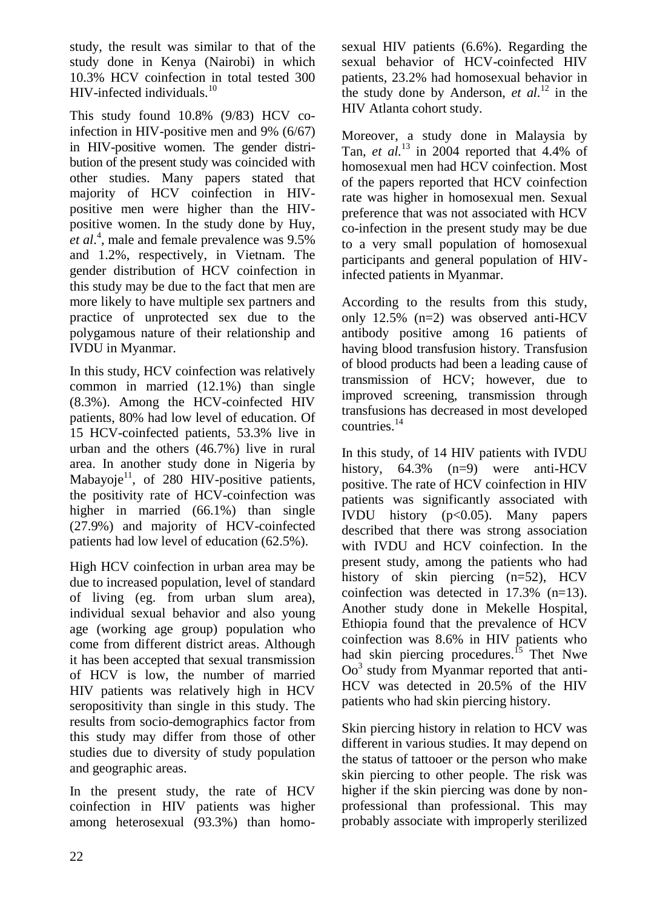study, the result was similar to that of the study done in Kenya (Nairobi) in which 10.3% HCV coinfection in total tested 300 HIV-infected individuals.<sup>10</sup>

This study found 10.8% (9/83) HCV coinfection in HIV-positive men and 9% (6/67) in HIV-positive women. The gender distribution of the present study was coincided with other studies. Many papers stated that majority of HCV coinfection in HIVpositive men were higher than the HIVpositive women. In the study done by [Huy,](http://www.hindawi.com/84757135/) *et al*. 4 , male and female prevalence was 9.5% and 1.2%, respectively, in Vietnam. The gender distribution of HCV coinfection in this study may be due to the fact that men are more likely to have multiple sex partners and practice of unprotected sex due to the polygamous nature of their relationship and IVDU in Myanmar.

In this study, HCV coinfection was relatively common in married (12.1%) than single (8.3%). Among the HCV-coinfected HIV patients, 80% had low level of education. Of 15 HCV-coinfected patients, 53.3% live in urban and the others (46.7%) live in rural area. In another study done in Nigeria by Mabayoje $^{11}$ , of 280 HIV-positive patients, the positivity rate of HCV-coinfection was higher in married (66.1%) than single (27.9%) and majority of HCV-coinfected patients had low level of education (62.5%).

High HCV coinfection in urban area may be due to increased population, level of standard of living (eg. from urban slum area), individual sexual behavior and also young age (working age group) population who come from different district areas. Although it has been accepted that sexual transmission of HCV is low, the number of married HIV patients was relatively high in HCV seropositivity than single in this study. The results from socio-demographics factor from this study may differ from those of other studies due to diversity of study population and geographic areas.

In the present study, the rate of HCV coinfection in HIV patients was higher among heterosexual (93.3%) than homosexual HIV patients (6.6%). Regarding the sexual behavior of HCV-coinfected HIV patients, 23.2% had homosexual behavior in the study done by Anderson, *et al.*<sup>12</sup> in the HIV Atlanta cohort study.

Moreover, a study done in Malaysia by Tan, *et al.*<sup>13</sup> in 2004 reported that 4.4% of homosexual men had HCV coinfection. Most of the papers reported that HCV coinfection rate was higher in homosexual men. Sexual preference that was not associated with HCV co-infection in the present study may be due to a very small population of homosexual participants and general population of HIVinfected patients in Myanmar.

According to the results from this study, only 12.5% (n=2) was observed anti-HCV antibody positive among 16 patients of having blood transfusion history. Transfusion of blood products had been a leading cause of transmission of HCV; however, due to improved screening, transmission through transfusions has decreased in most developed countries.<sup>14</sup>

In this study, of 14 HIV patients with IVDU history, 64.3% (n=9) were anti-HCV positive. The rate of HCV coinfection in HIV patients was significantly associated with IVDU history  $(p<0.05)$ . Many papers described that there was strong association with IVDU and HCV coinfection. In the present study, among the patients who had history of skin piercing (n=52), HCV coinfection was detected in 17.3% (n=13). Another study done in Mekelle Hospital, Ethiopia found that the prevalence of HCV coinfection was 8.6% in HIV patients who had skin piercing procedures.<sup>15</sup> Thet Nwe Oo<sup>3</sup> study from Myanmar reported that anti-HCV was detected in 20.5% of the HIV patients who had skin piercing history.

Skin piercing history in relation to HCV was different in various studies. It may depend on the status of tattooer or the person who make skin piercing to other people. The risk was higher if the skin piercing was done by nonprofessional than professional. This may probably associate with improperly sterilized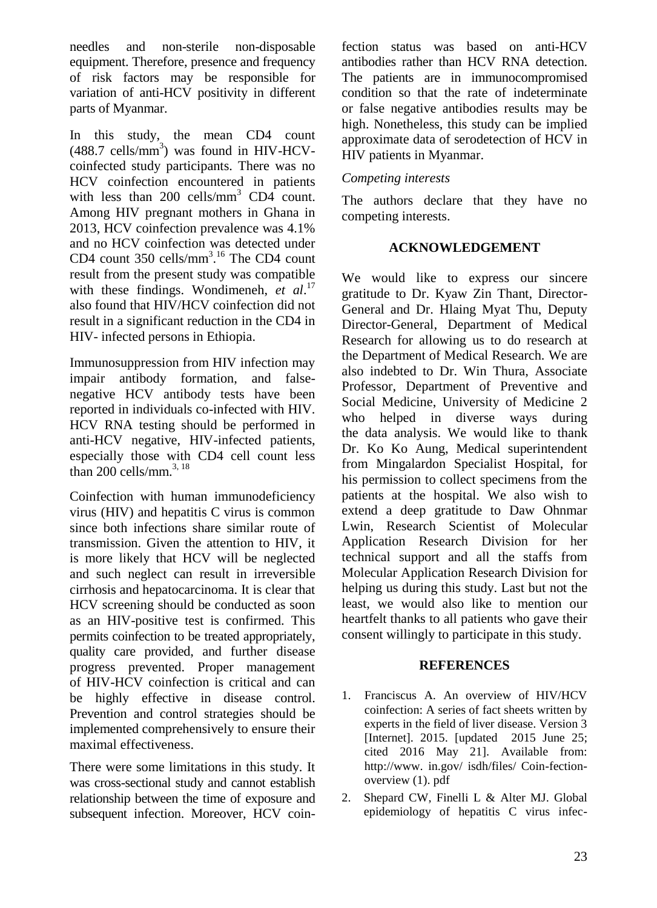needles and non-sterile non-disposable equipment. Therefore, presence and frequency of risk factors may be responsible for variation of anti-HCV positivity in different parts of Myanmar.

In this study, the mean CD4 count  $(488.7 \text{ cells/mm}^3)$  was found in HIV-HCVcoinfected study participants. There was no HCV coinfection encountered in patients with less than 200 cells/ $mm^3$  CD4 count. Among HIV pregnant mothers in Ghana in 2013, HCV coinfection prevalence was 4.1% and no HCV coinfection was detected under CD4 count  $350$  cells/mm<sup>3 16</sup> The CD4 count result from the present study was compatible with these findings. Wondimeneh, *et al*. 17 also found that HIV/HCV coinfection did not result in a significant reduction in the CD4 in HIV- infected persons in Ethiopia.

Immunosuppression from HIV infection may impair antibody formation, and falsenegative HCV antibody tests have been reported in individuals co-infected with HIV. HCV RNA testing should be performed in anti-HCV negative, HIV-infected patients, especially those with CD4 cell count less than 200 cells/mm. $^{3, 18}$ 

Coinfection with human immunodeficiency virus (HIV) and hepatitis C virus is common since both infections share similar route of transmission. Given the attention to HIV, it is more likely that HCV will be neglected and such neglect can result in irreversible cirrhosis and hepatocarcinoma. It is clear that HCV screening should be conducted as soon as an HIV-positive test is confirmed. This permits coinfection to be treated appropriately, quality care provided, and further disease progress prevented. Proper management of HIV-HCV coinfection is critical and can be highly effective in disease control. Prevention and control strategies should be implemented comprehensively to ensure their maximal effectiveness.

There were some limitations in this study. It was cross-sectional study and cannot establish relationship between the time of exposure and subsequent infection. Moreover, HCV coinfection status was based on anti-HCV antibodies rather than HCV RNA detection. The patients are in immunocompromised condition so that the rate of indeterminate or false negative antibodies results may be high. Nonetheless, this study can be implied approximate data of serodetection of HCV in HIV patients in Myanmar.

### *Competing interests*

The authors declare that they have no competing interests.

### **ACKNOWLEDGEMENT**

We would like to express our sincere gratitude to Dr. Kyaw Zin Thant, Director-General and Dr. Hlaing Myat Thu, Deputy Director-General, Department of Medical Research for allowing us to do research at the Department of Medical Research. We are also indebted to Dr. Win Thura, Associate Professor, Department of Preventive and Social Medicine, University of Medicine 2 who helped in diverse ways during the data analysis. We would like to thank Dr. Ko Ko Aung, Medical superintendent from Mingalardon Specialist Hospital, for his permission to collect specimens from the patients at the hospital. We also wish to extend a deep gratitude to Daw Ohnmar Lwin, Research Scientist of Molecular Application Research Division for her technical support and all the staffs from Molecular Application Research Division for helping us during this study. Last but not the least, we would also like to mention our heartfelt thanks to all patients who gave their consent willingly to participate in this study.

#### **REFERENCES**

- 1. Franciscus A. An overview of HIV/HCV coinfection: A series of fact sheets written by experts in the field of liver disease. Version 3 [Internet]. 2015. [updated 2015 June 25; cited 2016 May 21]. Available from: http://www. in.gov/ isdh/files/ Coin-fectionoverview (1). pdf
- 2. Shepard CW, [Finelli L](https://europepmc.org/search?query=AUTH:%22Lyn%20Finelli%22) & [Alter MJ.](https://europepmc.org/search?query=AUTH:%22Miriam%20J%20Alter%22) Global epidemiology of hepatitis C virus infec-